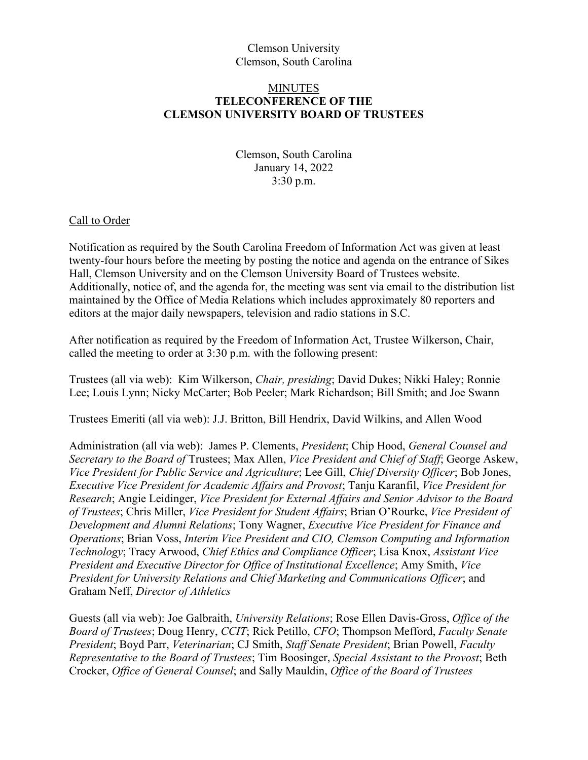# Clemson University Clemson, South Carolina

## MINUTES **TELECONFERENCE OF THE CLEMSON UNIVERSITY BOARD OF TRUSTEES**

Clemson, South Carolina January 14, 2022 3:30 p.m.

#### Call to Order

Notification as required by the South Carolina Freedom of Information Act was given at least twenty-four hours before the meeting by posting the notice and agenda on the entrance of Sikes Hall, Clemson University and on the Clemson University Board of Trustees website. Additionally, notice of, and the agenda for, the meeting was sent via email to the distribution list maintained by the Office of Media Relations which includes approximately 80 reporters and editors at the major daily newspapers, television and radio stations in S.C.

After notification as required by the Freedom of Information Act, Trustee Wilkerson, Chair, called the meeting to order at 3:30 p.m. with the following present:

Trustees (all via web): Kim Wilkerson, *Chair, presiding*; David Dukes; Nikki Haley; Ronnie Lee; Louis Lynn; Nicky McCarter; Bob Peeler; Mark Richardson; Bill Smith; and Joe Swann

Trustees Emeriti (all via web): J.J. Britton, Bill Hendrix, David Wilkins, and Allen Wood

Administration (all via web): James P. Clements, *President*; Chip Hood, *General Counsel and Secretary to the Board of* Trustees; Max Allen, *Vice President and Chief of Staff*; George Askew, *Vice President for Public Service and Agriculture*; Lee Gill, *Chief Diversity Officer*; Bob Jones, *Executive Vice President for Academic Affairs and Provost*; Tanju Karanfil, *Vice President for Research*; Angie Leidinger, *Vice President for External Affairs and Senior Advisor to the Board of Trustees*; Chris Miller, *Vice President for Student Affairs*; Brian O'Rourke, *Vice President of Development and Alumni Relations*; Tony Wagner, *Executive Vice President for Finance and Operations*; Brian Voss, *Interim Vice President and CIO, Clemson Computing and Information Technology*; Tracy Arwood, *Chief Ethics and Compliance Officer*; Lisa Knox, *Assistant Vice President and Executive Director for Office of Institutional Excellence*; Amy Smith, *Vice President for University Relations and Chief Marketing and Communications Officer*; and Graham Neff, *Director of Athletics*

Guests (all via web): Joe Galbraith, *University Relations*; Rose Ellen Davis-Gross, *Office of the Board of Trustees*; Doug Henry, *CCIT*; Rick Petillo, *CFO*; Thompson Mefford, *Faculty Senate President*; Boyd Parr, *Veterinarian*; CJ Smith, *Staff Senate President*; Brian Powell, *Faculty Representative to the Board of Trustees*; Tim Boosinger, *Special Assistant to the Provost*; Beth Crocker, *Office of General Counsel*; and Sally Mauldin, *Office of the Board of Trustees*